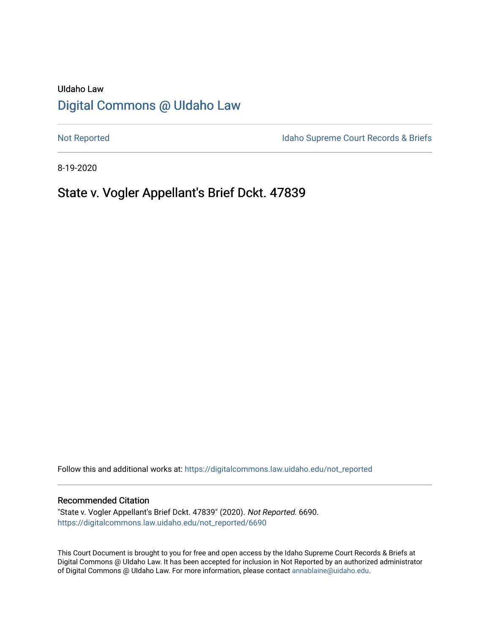# UIdaho Law [Digital Commons @ UIdaho Law](https://digitalcommons.law.uidaho.edu/)

[Not Reported](https://digitalcommons.law.uidaho.edu/not_reported) **Idaho Supreme Court Records & Briefs** 

8-19-2020

# State v. Vogler Appellant's Brief Dckt. 47839

Follow this and additional works at: [https://digitalcommons.law.uidaho.edu/not\\_reported](https://digitalcommons.law.uidaho.edu/not_reported?utm_source=digitalcommons.law.uidaho.edu%2Fnot_reported%2F6690&utm_medium=PDF&utm_campaign=PDFCoverPages) 

#### Recommended Citation

"State v. Vogler Appellant's Brief Dckt. 47839" (2020). Not Reported. 6690. [https://digitalcommons.law.uidaho.edu/not\\_reported/6690](https://digitalcommons.law.uidaho.edu/not_reported/6690?utm_source=digitalcommons.law.uidaho.edu%2Fnot_reported%2F6690&utm_medium=PDF&utm_campaign=PDFCoverPages)

This Court Document is brought to you for free and open access by the Idaho Supreme Court Records & Briefs at Digital Commons @ UIdaho Law. It has been accepted for inclusion in Not Reported by an authorized administrator of Digital Commons @ UIdaho Law. For more information, please contact [annablaine@uidaho.edu](mailto:annablaine@uidaho.edu).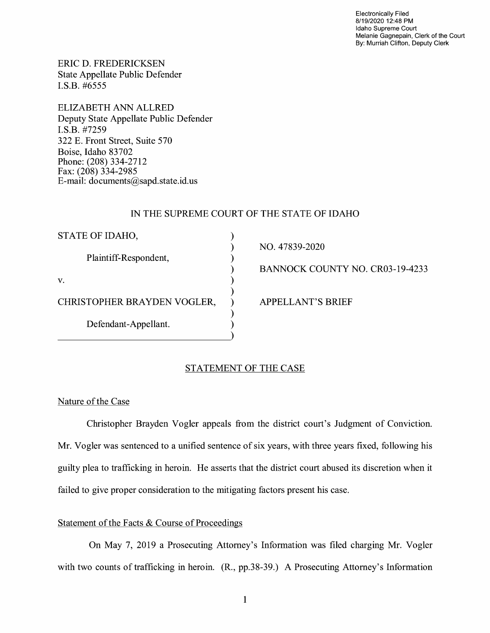Electronically Filed 8/19/2020 12:48 PM Idaho Supreme Court Melanie Gagnepain, Clerk of the Court By: Murriah Clifton, Deputy Clerk

ERIC D. FREDERICKSEN State Appellate Public Defender I.S.B. #6555

ELIZABETH ANN ALLRED Deputy State Appellate Public Defender I.S.B. #7259 322 E. Front Street, Suite 570 Boise, Idaho 83702 Phone: (208) 334-2712 Fax: (208) 334-2985 E-mail: documents@sapd.state.id. us

# IN THE SUPREME COURT OF THE STATE OF IDAHO

| STATE OF IDAHO,             |  |
|-----------------------------|--|
| Plaintiff-Respondent,       |  |
| V.                          |  |
| CHRISTOPHER BRAYDEN VOGLER, |  |
| Defendant-Appellant.        |  |

NO. 47839-2020

BANNOCK COUNTY NO. CR03-19-4233

APPELLANT'S BRIEF

### STATEMENT OF THE CASE

Nature of the Case

Christopher Brayden Vogler appeals from the district court's Judgment of Conviction. Mr. Vogler was sentenced to a unified sentence of six years, with three years fixed, following his guilty plea to trafficking in heroin. He asserts that the district court abused its discretion when it failed to give proper consideration to the mitigating factors present his case.

# Statement of the Facts & Course of Proceedings

On May 7, 2019 a Prosecuting Attorney's Information was filed charging Mr. Vogler with two counts of trafficking in heroin. (R., pp.38-39.) A Prosecuting Attorney's Information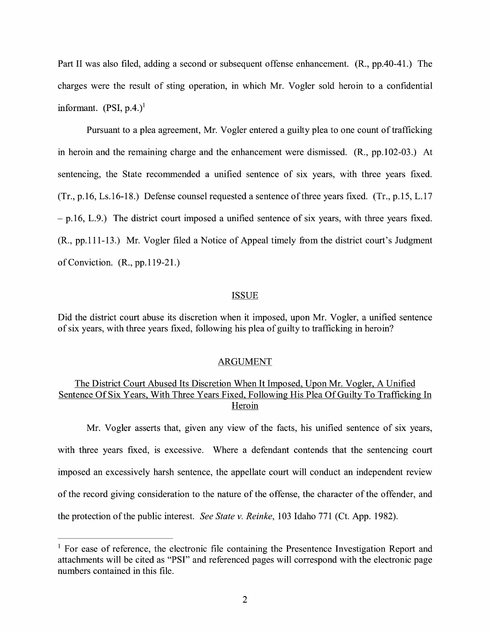Part II was also filed, adding a second or subsequent offense enhancement. (R., pp.40-41.) The charges were the result of sting operation, in which Mr. Vogler sold heroin to a confidential informant.  $(PSI, p.4.)<sup>1</sup>$ 

Pursuant to a plea agreement, Mr. Vogler entered a guilty plea to one count of trafficking in heroin and the remaining charge and the enhancement were dismissed. (R., pp.102-03.) At sentencing, the State recommended a unified sentence of six years, with three years fixed. (Tr., p.16, Ls.16-18.) Defense counsel requested a sentence of three years fixed. (Tr., p.15, L.17  $-$  p.16, L.9.) The district court imposed a unified sentence of six years, with three years fixed. (R., pp.111-13.) Mr. Vogler filed a Notice of Appeal timely from the district court's Judgment of Conviction. (R., pp.119-21.)

#### ISSUE

Did the district court abuse its discretion when it imposed, upon Mr. Vogler, a unified sentence of six years, with three years fixed, following his plea of guilty to trafficking in heroin?

### ARGUMENT

# The District Court Abused Its Discretion When It Imposed, Upon Mr. Vogler, A Unified Sentence Of Six Years, With Three Years Fixed, Following His Plea Of Guilty To Trafficking In Heroin

Mr. Vogler asserts that, given any view of the facts, his unified sentence of six years, with three years fixed, is excessive. Where a defendant contends that the sentencing court imposed an excessively harsh sentence, the appellate court will conduct an independent review of the record giving consideration to the nature of the offense, the character of the offender, and the protection of the public interest. *See State v. Reinke,* 103 Idaho 771 (Ct. App. 1982).

<sup>&</sup>lt;sup>1</sup> For ease of reference, the electronic file containing the Presentence Investigation Report and attachments will be cited as "PSI" and referenced pages will correspond with the electronic page numbers contained in this file.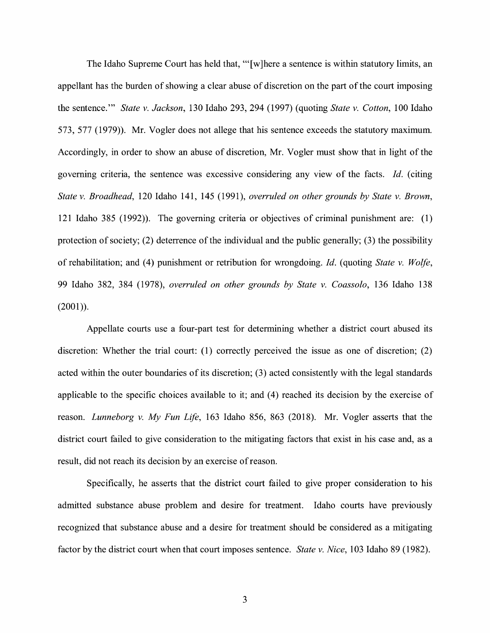The Idaho Supreme Court has held that, "'[w]here a sentence is within statutory limits, an appellant has the burden of showing a clear abuse of discretion on the part of the court imposing the sentence."' *State v. Jackson,* 130 Idaho 293, 294 (1997) (quoting *State v. Cotton,* 100 Idaho 573, 577 (1979)). Mr. Vogler does not allege that his sentence exceeds the statutory maximum. Accordingly, in order to show an abuse of discretion, Mr. Vogler must show that in light of the governing criteria, the sentence was excessive considering any view of the facts. *Id.* (citing *State v. Broadhead,* 120 Idaho 141, 145 (1991), *overruled on other grounds by State v. Brown,*  121 Idaho 385 (1992)). The governing criteria or objectives of criminal punishment are: (1) protection of society; (2) deterrence of the individual and the public generally; (3) the possibility of rehabilitation; and (4) punishment or retribution for wrongdoing. *Id.* (quoting *State v. Wolfe,*  99 Idaho 382, 384 (1978), *overruled on other grounds by State v. Coassolo,* 136 Idaho 138 (2001)).

Appellate courts use a four-part test for determining whether a district court abused its discretion: Whether the trial court: (1) correctly perceived the issue as one of discretion; (2) acted within the outer boundaries of its discretion; (3) acted consistently with the legal standards applicable to the specific choices available to it; and (4) reached its decision by the exercise of reason. *Lunneborg v. My Fun Life,* 163 Idaho 856, 863 (2018). Mr. Vogler asserts that the district court failed to give consideration to the mitigating factors that exist in his case and, as a result, did not reach its decision by an exercise of reason.

Specifically, he asserts that the district court failed to give proper consideration to his admitted substance abuse problem and desire for treatment. Idaho courts have previously recognized that substance abuse and a desire for treatment should be considered as a mitigating factor by the district court when that court imposes sentence. *State v. Nice,* 103 Idaho 89 (1982).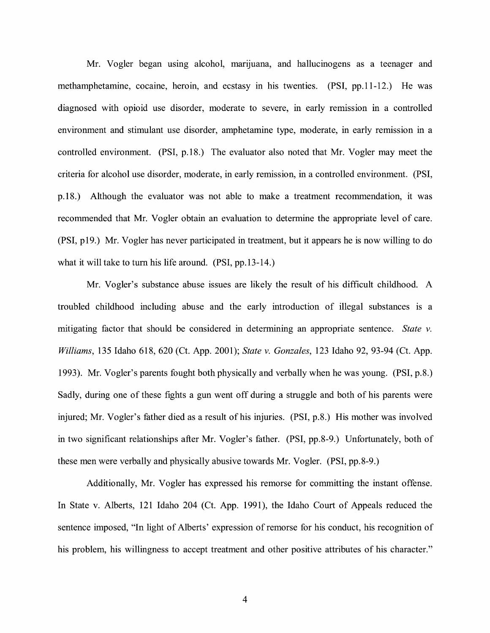Mr. Vogler began using alcohol, marijuana, and hallucinogens as a teenager and methamphetamine, cocaine, heroin, and ecstasy in his twenties. (PSI, pp.11-12.) He was diagnosed with opioid use disorder, moderate to severe, in early remission in a controlled environment and stimulant use disorder, amphetamine type, moderate, in early remission in a controlled environment. (PSI, p.18.) The evaluator also noted that Mr. Vogler may meet the criteria for alcohol use disorder, moderate, in early remission, in a controlled environment. (PSI, p.18.) Although the evaluator was not able to make a treatment recommendation, it was recommended that Mr. Vogler obtain an evaluation to determine the appropriate level of care. (PSI, p19.) Mr. Vogler has never participated in treatment, but it appears he is now willing to do what it will take to tum his life around. (PSI, pp.13-14.)

Mr. Vogler's substance abuse issues are likely the result of his difficult childhood. A troubled childhood including abuse and the early introduction of illegal substances is a mitigating factor that should be considered in determining an appropriate sentence. *State v. Williams,* 135 Idaho 618, 620 (Ct. App. 2001); *State v. Gonzales,* 123 Idaho 92, 93-94 (Ct. App. 1993). Mr. Vogler's parents fought both physically and verbally when he was young. (PSI, p.8.) Sadly, during one of these fights a gun went off during a struggle and both of his parents were injured; Mr. Vogler's father died as a result of his injuries. (PSI, p.8.) His mother was involved in two significant relationships after Mr. Vogler's father. (PSI, pp.8-9.) Unfortunately, both of these men were verbally and physically abusive towards Mr. Vogler. (PSI, pp.8-9.)

Additionally, Mr. Vogler has expressed his remorse for committing the instant offense. In State v. Alberts, 121 Idaho 204 (Ct. App. 1991), the Idaho Court of Appeals reduced the sentence imposed, "In light of Alberts' expression of remorse for his conduct, his recognition of his problem, his willingness to accept treatment and other positive attributes of his character."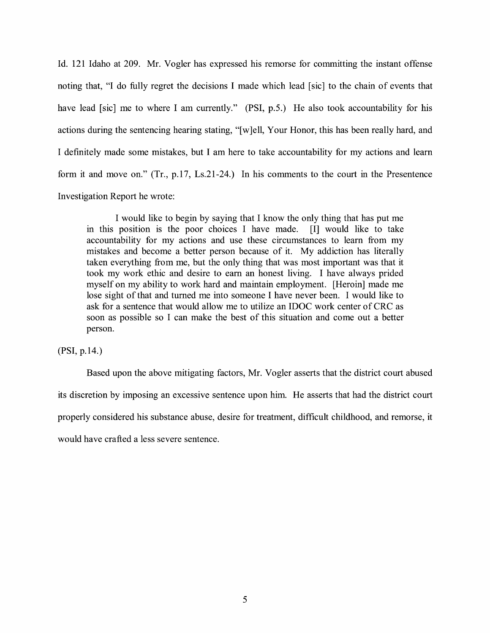Id. 121 Idaho at 209. Mr. Vogler has expressed his remorse for committing the instant offense noting that, "I do fully regret the decisions I made which lead [sic] to the chain of events that have lead [sic] me to where I am currently." **(PSI,** p.5.) He also took accountability for his actions during the sentencing hearing stating, "[ w ]ell, Your Honor, this has been really hard, and I definitely made some mistakes, but I am here to take accountability for my actions and learn form it and move on." (Tr., p.17, Ls.21-24.) In his comments to the court in the Presentence Investigation Report he wrote:

I would like to begin by saying that I know the only thing that has put me in this position is the poor choices I have made. [I] would like to take accountability for my actions and use these circumstances to learn from my mistakes and become a better person because of it. My addiction has literally taken everything from me, but the only thing that was most important was that it took my work ethic and desire to earn an honest living. I have always prided myself on my ability to work hard and maintain employment. [Heroin] made me lose sight of that and turned me into someone I have never been. I would like to ask for a sentence that would allow me to utilize an IDOC work center of CRC as soon as possible so I can make the best of this situation and come out a better person.

**(PSI,** p.14.)

Based upon the above mitigating factors, Mr. Vogler asserts that the district court abused its discretion by imposing an excessive sentence upon him. He asserts that had the district court properly considered his substance abuse, desire for treatment, difficult childhood, and remorse, it would have crafted a less severe sentence.